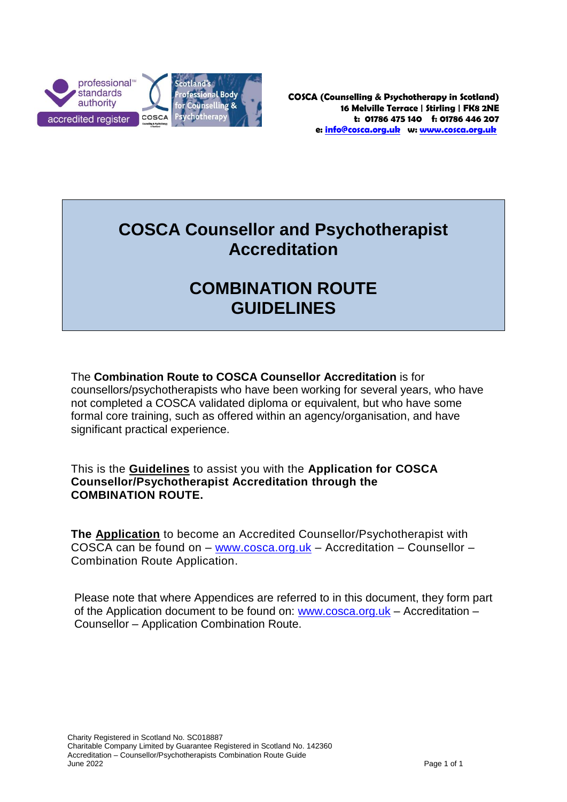

## **COSCA Counsellor and Psychotherapist Accreditation**

## **COMBINATION ROUTE GUIDELINES**

The **Combination Route to COSCA Counsellor Accreditation** is for counsellors/psychotherapists who have been working for several years, who have not completed a COSCA validated diploma or equivalent, but who have some formal core training, such as offered within an agency/organisation, and have significant practical experience.

This is the **Guidelines** to assist you with the **Application for COSCA Counsellor/Psychotherapist Accreditation through the COMBINATION ROUTE.**

**The Application** to become an Accredited Counsellor/Psychotherapist with COSCA can be found on – [www.cosca.org.uk](http://www.cosca.org.uk/) – Accreditation – Counsellor – Combination Route Application.

Please note that where Appendices are referred to in this document, they form part of the Application document to be found on: [www.cosca.org.uk](http://www.cosca.org.uk/) – Accreditation – Counsellor – Application Combination Route.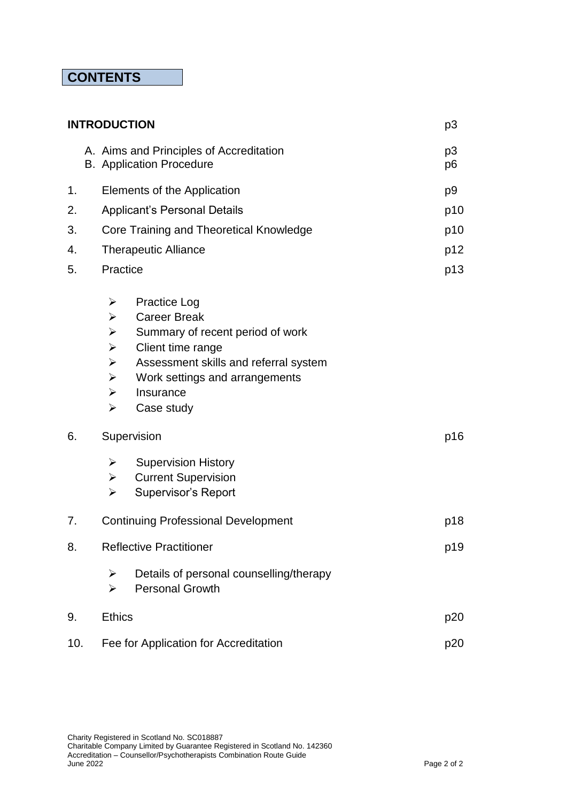## **CONTENTS**

| <b>INTRODUCTION</b> |  |                                                                                                                                                              |                                                                                                                                                                                                           |  | p3       |
|---------------------|--|--------------------------------------------------------------------------------------------------------------------------------------------------------------|-----------------------------------------------------------------------------------------------------------------------------------------------------------------------------------------------------------|--|----------|
|                     |  |                                                                                                                                                              | A. Aims and Principles of Accreditation<br><b>B.</b> Application Procedure                                                                                                                                |  | p3<br>p6 |
| 1.                  |  | Elements of the Application                                                                                                                                  |                                                                                                                                                                                                           |  | p9       |
| 2.                  |  | <b>Applicant's Personal Details</b>                                                                                                                          |                                                                                                                                                                                                           |  | p10      |
| 3.                  |  | Core Training and Theoretical Knowledge                                                                                                                      |                                                                                                                                                                                                           |  | p10      |
| 4.                  |  | <b>Therapeutic Alliance</b>                                                                                                                                  |                                                                                                                                                                                                           |  | p12      |
| 5.                  |  | Practice                                                                                                                                                     |                                                                                                                                                                                                           |  | p13      |
|                     |  | ➤<br>$\blacktriangleright$<br>$\blacktriangleright$<br>$\blacktriangleright$<br>$\blacktriangleright$<br>$\blacktriangleright$<br>≻<br>$\blacktriangleright$ | <b>Practice Log</b><br><b>Career Break</b><br>Summary of recent period of work<br>Client time range<br>Assessment skills and referral system<br>Work settings and arrangements<br>Insurance<br>Case study |  |          |
| 6.                  |  | Supervision                                                                                                                                                  |                                                                                                                                                                                                           |  | p16      |
|                     |  | ➤<br>➤<br>$\blacktriangleright$                                                                                                                              | <b>Supervision History</b><br><b>Current Supervision</b><br><b>Supervisor's Report</b>                                                                                                                    |  |          |
| 7.                  |  | <b>Continuing Professional Development</b>                                                                                                                   |                                                                                                                                                                                                           |  | p18      |
| 8.                  |  | <b>Reflective Practitioner</b>                                                                                                                               |                                                                                                                                                                                                           |  | p19      |
|                     |  | ➤<br>$\blacktriangleright$                                                                                                                                   | Details of personal counselling/therapy<br><b>Personal Growth</b>                                                                                                                                         |  |          |
| 9.                  |  | <b>Ethics</b>                                                                                                                                                |                                                                                                                                                                                                           |  | p20      |
| 10.                 |  | Fee for Application for Accreditation                                                                                                                        |                                                                                                                                                                                                           |  | p20      |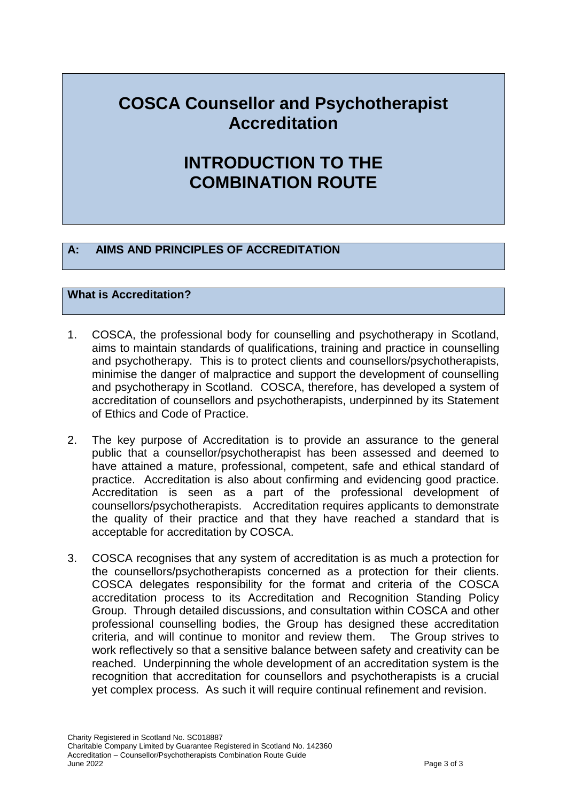## **COSCA Counsellor and Psychotherapist Accreditation**

## **INTRODUCTION TO THE COMBINATION ROUTE**

## **A: AIMS AND PRINCIPLES OF ACCREDITATION**

## **What is Accreditation?**

- 1. COSCA, the professional body for counselling and psychotherapy in Scotland, aims to maintain standards of qualifications, training and practice in counselling and psychotherapy. This is to protect clients and counsellors/psychotherapists, minimise the danger of malpractice and support the development of counselling and psychotherapy in Scotland. COSCA, therefore, has developed a system of accreditation of counsellors and psychotherapists, underpinned by its Statement of Ethics and Code of Practice.
- 2. The key purpose of Accreditation is to provide an assurance to the general public that a counsellor/psychotherapist has been assessed and deemed to have attained a mature, professional, competent, safe and ethical standard of practice. Accreditation is also about confirming and evidencing good practice. Accreditation is seen as a part of the professional development of counsellors/psychotherapists. Accreditation requires applicants to demonstrate the quality of their practice and that they have reached a standard that is acceptable for accreditation by COSCA.
- 3. COSCA recognises that any system of accreditation is as much a protection for the counsellors/psychotherapists concerned as a protection for their clients. COSCA delegates responsibility for the format and criteria of the COSCA accreditation process to its Accreditation and Recognition Standing Policy Group. Through detailed discussions, and consultation within COSCA and other professional counselling bodies, the Group has designed these accreditation criteria, and will continue to monitor and review them. The Group strives to work reflectively so that a sensitive balance between safety and creativity can be reached. Underpinning the whole development of an accreditation system is the recognition that accreditation for counsellors and psychotherapists is a crucial yet complex process. As such it will require continual refinement and revision.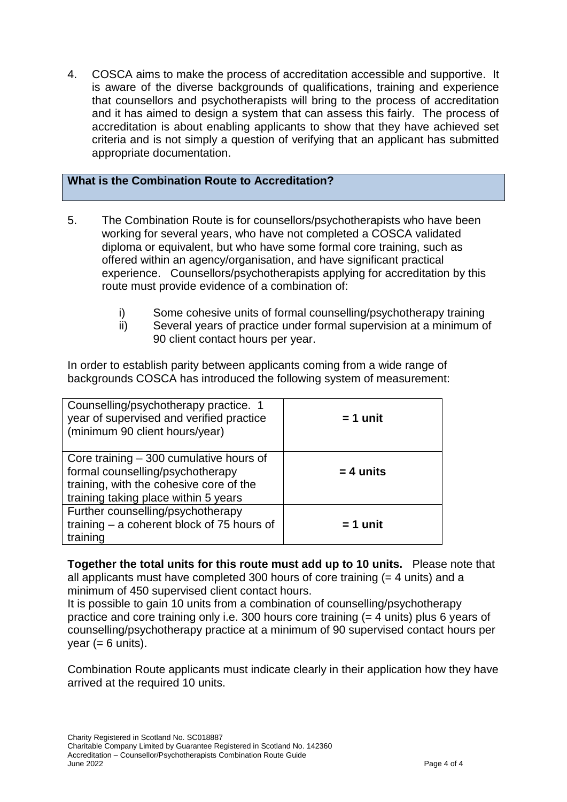4. COSCA aims to make the process of accreditation accessible and supportive. It is aware of the diverse backgrounds of qualifications, training and experience that counsellors and psychotherapists will bring to the process of accreditation and it has aimed to design a system that can assess this fairly. The process of accreditation is about enabling applicants to show that they have achieved set criteria and is not simply a question of verifying that an applicant has submitted appropriate documentation.

## **What is the Combination Route to Accreditation?**

- 5. The Combination Route is for counsellors/psychotherapists who have been working for several years, who have not completed a COSCA validated diploma or equivalent, but who have some formal core training, such as offered within an agency/organisation, and have significant practical experience. Counsellors/psychotherapists applying for accreditation by this route must provide evidence of a combination of:
	- i) Some cohesive units of formal counselling/psychotherapy training
	- ii) Several years of practice under formal supervision at a minimum of 90 client contact hours per year.

In order to establish parity between applicants coming from a wide range of backgrounds COSCA has introduced the following system of measurement:

| Counselling/psychotherapy practice. 1<br>year of supervised and verified practice<br>(minimum 90 client hours/year)                                             | $= 1$ unit  |
|-----------------------------------------------------------------------------------------------------------------------------------------------------------------|-------------|
| Core training $-300$ cumulative hours of<br>formal counselling/psychotherapy<br>training, with the cohesive core of the<br>training taking place within 5 years | $= 4$ units |
| Further counselling/psychotherapy<br>training - a coherent block of 75 hours of<br>training                                                                     | $= 1$ unit  |

**Together the total units for this route must add up to 10 units.** Please note that all applicants must have completed 300 hours of core training (= 4 units) and a minimum of 450 supervised client contact hours.

It is possible to gain 10 units from a combination of counselling/psychotherapy practice and core training only i.e. 300 hours core training (= 4 units) plus 6 years of counselling/psychotherapy practice at a minimum of 90 supervised contact hours per  $year (= 6 units).$ 

Combination Route applicants must indicate clearly in their application how they have arrived at the required 10 units.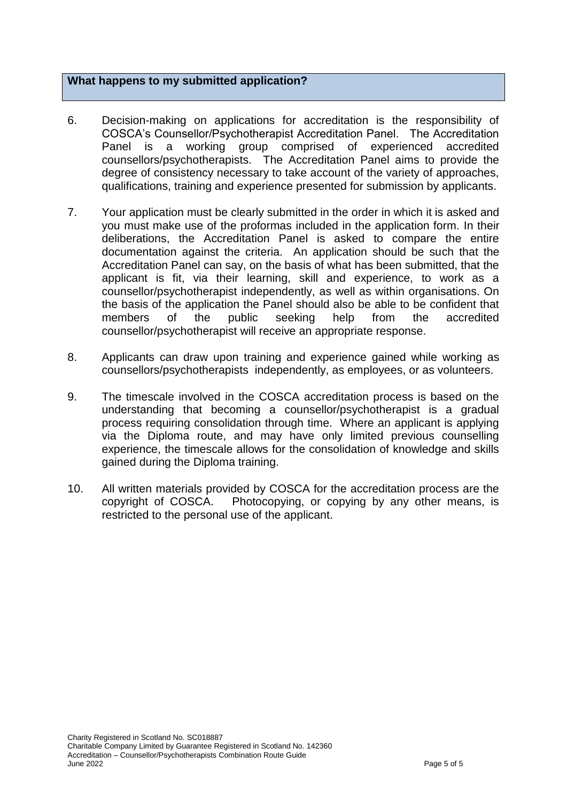## **What happens to my submitted application?**

- 6. Decision-making on applications for accreditation is the responsibility of COSCA's Counsellor/Psychotherapist Accreditation Panel. The Accreditation Panel is a working group comprised of experienced accredited counsellors/psychotherapists. The Accreditation Panel aims to provide the degree of consistency necessary to take account of the variety of approaches, qualifications, training and experience presented for submission by applicants.
- 7. Your application must be clearly submitted in the order in which it is asked and you must make use of the proformas included in the application form. In their deliberations, the Accreditation Panel is asked to compare the entire documentation against the criteria. An application should be such that the Accreditation Panel can say, on the basis of what has been submitted, that the applicant is fit, via their learning, skill and experience, to work as a counsellor/psychotherapist independently, as well as within organisations. On the basis of the application the Panel should also be able to be confident that members of the public seeking help from the accredited counsellor/psychotherapist will receive an appropriate response.
- 8. Applicants can draw upon training and experience gained while working as counsellors/psychotherapists independently, as employees, or as volunteers.
- 9. The timescale involved in the COSCA accreditation process is based on the understanding that becoming a counsellor/psychotherapist is a gradual process requiring consolidation through time. Where an applicant is applying via the Diploma route, and may have only limited previous counselling experience, the timescale allows for the consolidation of knowledge and skills gained during the Diploma training.
- 10. All written materials provided by COSCA for the accreditation process are the copyright of COSCA. Photocopying, or copying by any other means, is restricted to the personal use of the applicant.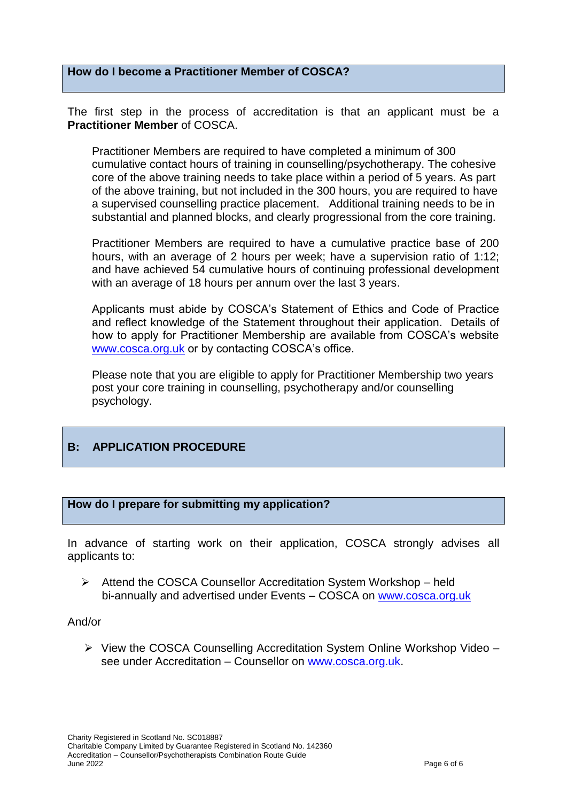## **How do I become a Practitioner Member of COSCA?**

The first step in the process of accreditation is that an applicant must be a **Practitioner Member** of COSCA.

Practitioner Members are required to have completed a minimum of 300 cumulative contact hours of training in counselling/psychotherapy. The cohesive core of the above training needs to take place within a period of 5 years. As part of the above training, but not included in the 300 hours, you are required to have a supervised counselling practice placement. Additional training needs to be in substantial and planned blocks, and clearly progressional from the core training.

Practitioner Members are required to have a cumulative practice base of 200 hours, with an average of 2 hours per week; have a supervision ratio of 1:12; and have achieved 54 cumulative hours of continuing professional development with an average of 18 hours per annum over the last 3 years.

Applicants must abide by COSCA's Statement of Ethics and Code of Practice and reflect knowledge of the Statement throughout their application. Details of how to apply for Practitioner Membership are available from COSCA's website [www.cosca.org.uk](http://www.cosca.org.uk/) or by contacting COSCA's office.

Please note that you are eligible to apply for Practitioner Membership two years post your core training in counselling, psychotherapy and/or counselling psychology.

## **B: APPLICATION PROCEDURE**

#### **How do I prepare for submitting my application?**

In advance of starting work on their application, COSCA strongly advises all applicants to:

 Attend the COSCA Counsellor Accreditation System Workshop – held bi-annually and advertised under Events – COSCA on [www.cosca.org.uk](http://www.cosca.org.uk/)

#### And/or

 $\triangleright$  View the COSCA Counselling Accreditation System Online Workshop Video – see under Accreditation – Counsellor on [www.cosca.org.uk.](http://www.cosca.org.uk/)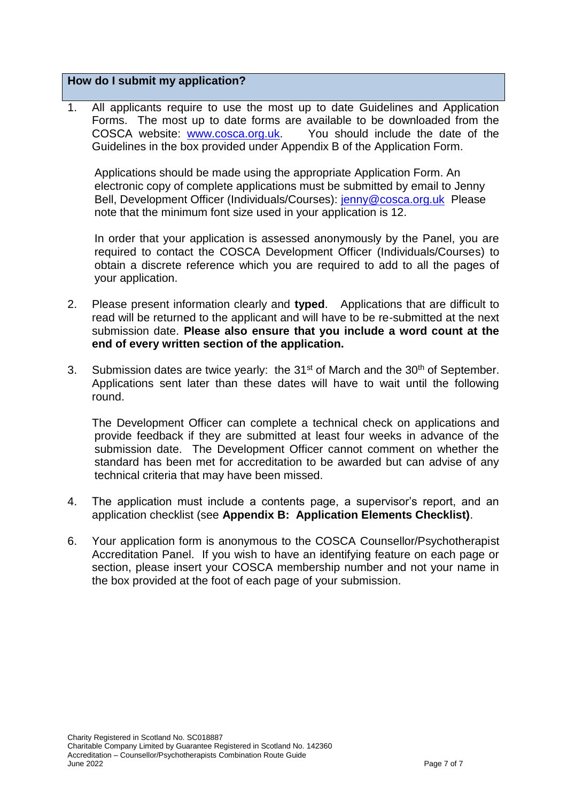## **How do I submit my application?**

1. All applicants require to use the most up to date Guidelines and Application Forms. The most up to date forms are available to be downloaded from the COSCA website: [www.cosca.org.uk.](http://www.cosca.org.uk/) You should include the date of the Guidelines in the box provided under Appendix B of the Application Form.

Applications should be made using the appropriate Application Form. An electronic copy of complete applications must be submitted by email to Jenny Bell, Development Officer (Individuals/Courses): [jenny@cosca.org.uk](mailto:jenny@cosca.org.uk) Please note that the minimum font size used in your application is 12.

In order that your application is assessed anonymously by the Panel, you are required to contact the COSCA Development Officer (Individuals/Courses) to obtain a discrete reference which you are required to add to all the pages of your application.

- 2. Please present information clearly and **typed**. Applications that are difficult to read will be returned to the applicant and will have to be re-submitted at the next submission date. **Please also ensure that you include a word count at the end of every written section of the application.**
- 3. Submission dates are twice yearly: the  $31<sup>st</sup>$  of March and the  $30<sup>th</sup>$  of September. Applications sent later than these dates will have to wait until the following round.

The Development Officer can complete a technical check on applications and provide feedback if they are submitted at least four weeks in advance of the submission date. The Development Officer cannot comment on whether the standard has been met for accreditation to be awarded but can advise of any technical criteria that may have been missed.

- 4. The application must include a contents page, a supervisor's report, and an application checklist (see **Appendix B: Application Elements Checklist)**.
- 6. Your application form is anonymous to the COSCA Counsellor/Psychotherapist Accreditation Panel. If you wish to have an identifying feature on each page or section, please insert your COSCA membership number and not your name in the box provided at the foot of each page of your submission.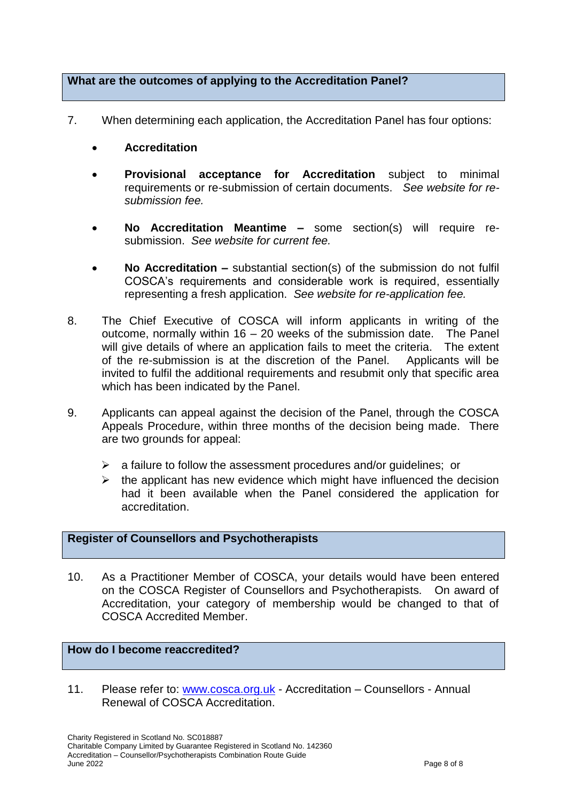## **What are the outcomes of applying to the Accreditation Panel?**

- 7. When determining each application, the Accreditation Panel has four options:
	- **Accreditation**
	- **Provisional acceptance for Accreditation** subject to minimal requirements or re-submission of certain documents. *See website for resubmission fee.*
	- **No Accreditation Meantime –** some section(s) will require resubmission. *See website for current fee.*
	- **No Accreditation –** substantial section(s) of the submission do not fulfil COSCA's requirements and considerable work is required, essentially representing a fresh application. *See website for re-application fee.*
- 8. The Chief Executive of COSCA will inform applicants in writing of the outcome, normally within 16 – 20 weeks of the submission date. The Panel will give details of where an application fails to meet the criteria. The extent of the re-submission is at the discretion of the Panel. Applicants will be invited to fulfil the additional requirements and resubmit only that specific area which has been indicated by the Panel.
- 9. Applicants can appeal against the decision of the Panel, through the COSCA Appeals Procedure, within three months of the decision being made. There are two grounds for appeal:
	- $\geq$  a failure to follow the assessment procedures and/or quidelines; or
	- $\triangleright$  the applicant has new evidence which might have influenced the decision had it been available when the Panel considered the application for accreditation.

## **Register of Counsellors and Psychotherapists**

10. As a Practitioner Member of COSCA, your details would have been entered on the COSCA Register of Counsellors and Psychotherapists. On award of Accreditation, your category of membership would be changed to that of COSCA Accredited Member.

## **How do I become reaccredited?**

11. Please refer to: [www.cosca.org.uk](http://www.cosca.org.uk/) - Accreditation – Counsellors - Annual Renewal of COSCA Accreditation.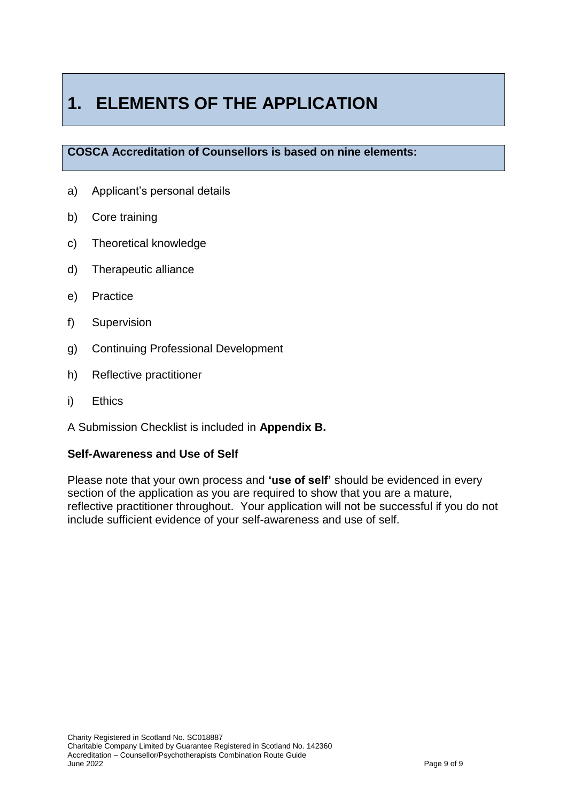# **1. ELEMENTS OF THE APPLICATION**

## **COSCA Accreditation of Counsellors is based on nine elements:**

- a) Applicant's personal details
- b) Core training
- c) Theoretical knowledge
- d) d) Therapeutic alliance
- e) Practice
- f) Supervision
- g) Continuing Professional Development
- h) Reflective practitioner
- i) Ethics
- A Submission Checklist is included in **Appendix B.**

### **Self-Awareness and Use of Self**

Please note that your own process and **'use of self'** should be evidenced in every section of the application as you are required to show that you are a mature, reflective practitioner throughout. Your application will not be successful if you do not include sufficient evidence of your self-awareness and use of self.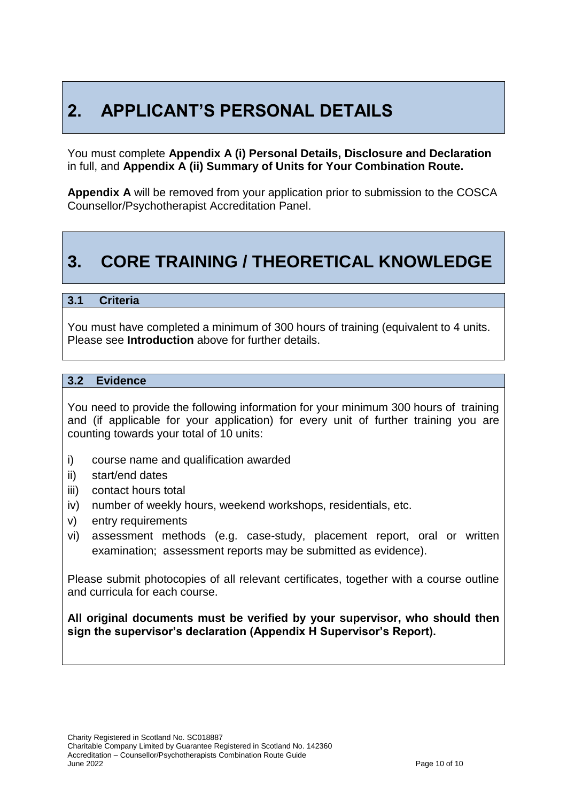# **2. APPLICANT'S PERSONAL DETAILS**

You must complete **Appendix A (i) Personal Details, Disclosure and Declaration**  in full, and **Appendix A (ii) Summary of Units for Your Combination Route.**

**Appendix A** will be removed from your application prior to submission to the COSCA Counsellor/Psychotherapist Accreditation Panel.

## **3. CORE TRAINING / THEORETICAL KNOWLEDGE**

### **3.1 Criteria**

You must have completed a minimum of 300 hours of training (equivalent to 4 units. Please see **Introduction** above for further details.

#### **3.2 Evidence**

You need to provide the following information for your minimum 300 hours of training and (if applicable for your application) for every unit of further training you are counting towards your total of 10 units:

- i) course name and qualification awarded
- ii) start/end dates
- iii) contact hours total
- iv) number of weekly hours, weekend workshops, residentials, etc.
- v) entry requirements
- vi) assessment methods (e.g. case-study, placement report, oral or written examination; assessment reports may be submitted as evidence).

Please submit photocopies of all relevant certificates, together with a course outline and curricula for each course.

**All original documents must be verified by your supervisor, who should then sign the supervisor's declaration (Appendix H Supervisor's Report).**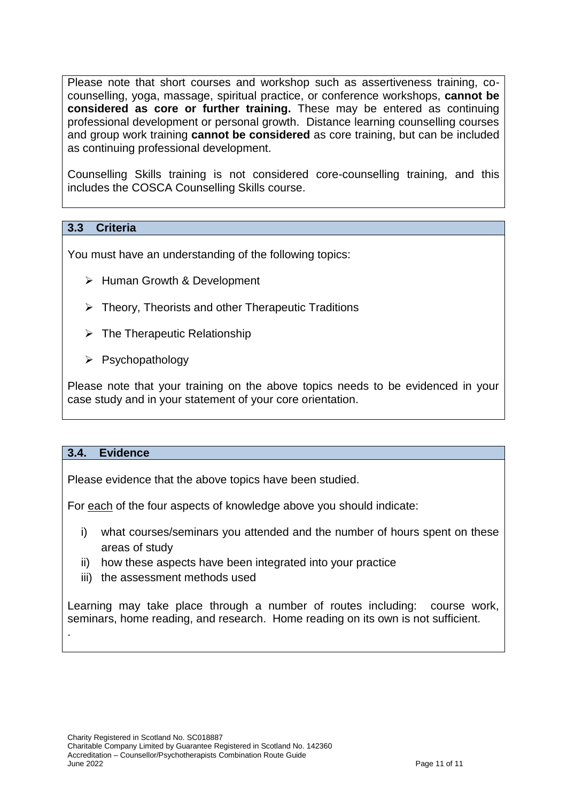Please note that short courses and workshop such as assertiveness training, cocounselling, yoga, massage, spiritual practice, or conference workshops, **cannot be considered as core or further training.** These may be entered as continuing professional development or personal growth. Distance learning counselling courses and group work training **cannot be considered** as core training, but can be included as continuing professional development.

Counselling Skills training is not considered core-counselling training, and this includes the COSCA Counselling Skills course.

## **3.3 Criteria**

You must have an understanding of the following topics:

- $\triangleright$  Human Growth & Development
- $\triangleright$  Theory, Theorists and other Therapeutic Traditions
- $\triangleright$  The Therapeutic Relationship
- $\triangleright$  Psychopathology

Please note that your training on the above topics needs to be evidenced in your case study and in your statement of your core orientation.

#### **3.4. Evidence**

.

Please evidence that the above topics have been studied.

For each of the four aspects of knowledge above you should indicate:

- i) what courses/seminars you attended and the number of hours spent on these areas of study
- ii) how these aspects have been integrated into your practice
- iii) the assessment methods used

Learning may take place through a number of routes including: course work, seminars, home reading, and research. Home reading on its own is not sufficient.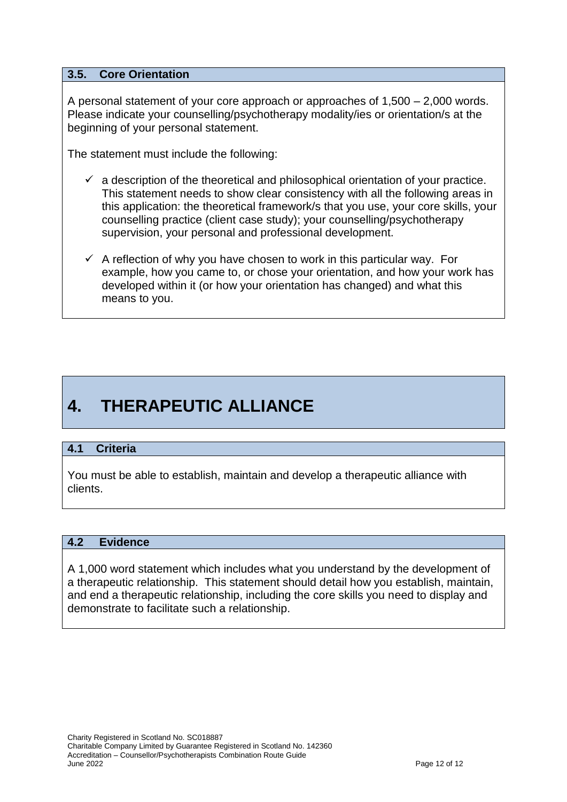## **3.5. Core Orientation**

A personal statement of your core approach or approaches of 1,500 – 2,000 words. Please indicate your counselling/psychotherapy modality/ies or orientation/s at the beginning of your personal statement.

The statement must include the following:

- $\checkmark$  a description of the theoretical and philosophical orientation of your practice. This statement needs to show clear consistency with all the following areas in this application: the theoretical framework/s that you use, your core skills, your counselling practice (client case study); your counselling/psychotherapy supervision, your personal and professional development.
- $\checkmark$  A reflection of why you have chosen to work in this particular way. For example, how you came to, or chose your orientation, and how your work has developed within it (or how your orientation has changed) and what this means to you.

# **4. THERAPEUTIC ALLIANCE**

## **4.1 Criteria**

You must be able to establish, maintain and develop a therapeutic alliance with clients.

#### **4.2 Evidence**

A 1,000 word statement which includes what you understand by the development of a therapeutic relationship. This statement should detail how you establish, maintain, and end a therapeutic relationship, including the core skills you need to display and demonstrate to facilitate such a relationship.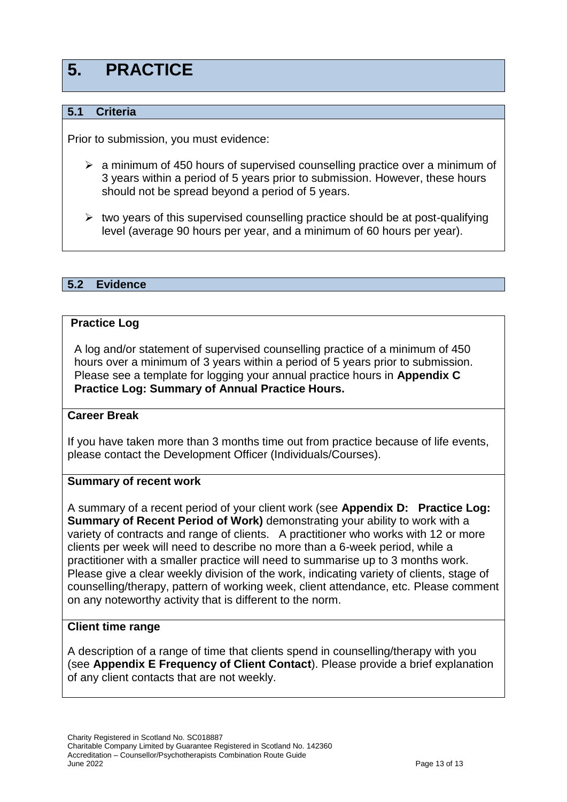## **5. PRACTICE**

## **5.1 Criteria**

Prior to submission, you must evidence:

- $\triangleright$  a minimum of 450 hours of supervised counselling practice over a minimum of 3 years within a period of 5 years prior to submission. However, these hours should not be spread beyond a period of 5 years.
- $\triangleright$  two years of this supervised counselling practice should be at post-qualifying level (average 90 hours per year, and a minimum of 60 hours per year).

## **5.2 Evidence**

### **Practice Log**

A log and/or statement of supervised counselling practice of a minimum of 450 hours over a minimum of 3 years within a period of 5 years prior to submission. Please see a template for logging your annual practice hours in **Appendix C Practice Log: Summary of Annual Practice Hours.**

## **Career Break**

If you have taken more than 3 months time out from practice because of life events, please contact the Development Officer (Individuals/Courses).

#### **Summary of recent work**

A summary of a recent period of your client work (see **Appendix D: Practice Log: Summary of Recent Period of Work)** demonstrating your ability to work with a variety of contracts and range of clients. A practitioner who works with 12 or more clients per week will need to describe no more than a 6-week period, while a practitioner with a smaller practice will need to summarise up to 3 months work. Please give a clear weekly division of the work, indicating variety of clients, stage of counselling/therapy, pattern of working week, client attendance, etc. Please comment on any noteworthy activity that is different to the norm.

## **Client time range**

A description of a range of time that clients spend in counselling/therapy with you (see **Appendix E Frequency of Client Contact**). Please provide a brief explanation of any client contacts that are not weekly.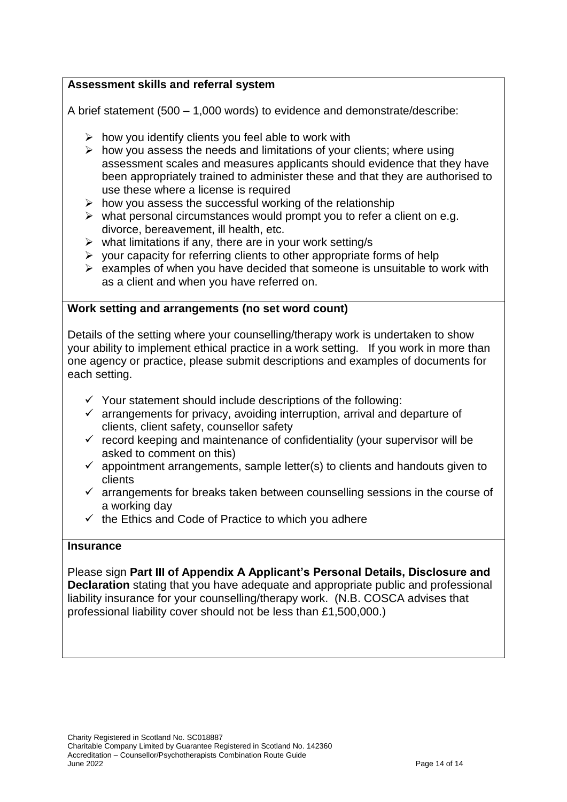## **Assessment skills and referral system**

A brief statement (500 – 1,000 words) to evidence and demonstrate/describe:

- $\triangleright$  how you identify clients you feel able to work with
- $\triangleright$  how you assess the needs and limitations of your clients; where using assessment scales and measures applicants should evidence that they have been appropriately trained to administer these and that they are authorised to use these where a license is required
- $\triangleright$  how you assess the successful working of the relationship
- $\triangleright$  what personal circumstances would prompt you to refer a client on e.g. divorce, bereavement, ill health, etc.
- $\triangleright$  what limitations if any, there are in your work setting/s
- $\triangleright$  your capacity for referring clients to other appropriate forms of help
- $\triangleright$  examples of when you have decided that someone is unsuitable to work with as a client and when you have referred on.

## **Work setting and arrangements (no set word count)**

Details of the setting where your counselling/therapy work is undertaken to show your ability to implement ethical practice in a work setting. If you work in more than one agency or practice, please submit descriptions and examples of documents for each setting.

- $\checkmark$  Your statement should include descriptions of the following:
- $\checkmark$  arrangements for privacy, avoiding interruption, arrival and departure of clients, client safety, counsellor safety
- $\checkmark$  record keeping and maintenance of confidentiality (your supervisor will be asked to comment on this)
- $\checkmark$  appointment arrangements, sample letter(s) to clients and handouts given to clients
- $\checkmark$  arrangements for breaks taken between counselling sessions in the course of a working day
- $\checkmark$  the Ethics and Code of Practice to which you adhere

## **Insurance**

Please sign **Part III of Appendix A Applicant's Personal Details, Disclosure and Declaration** stating that you have adequate and appropriate public and professional liability insurance for your counselling/therapy work. (N.B. COSCA advises that professional liability cover should not be less than £1,500,000.)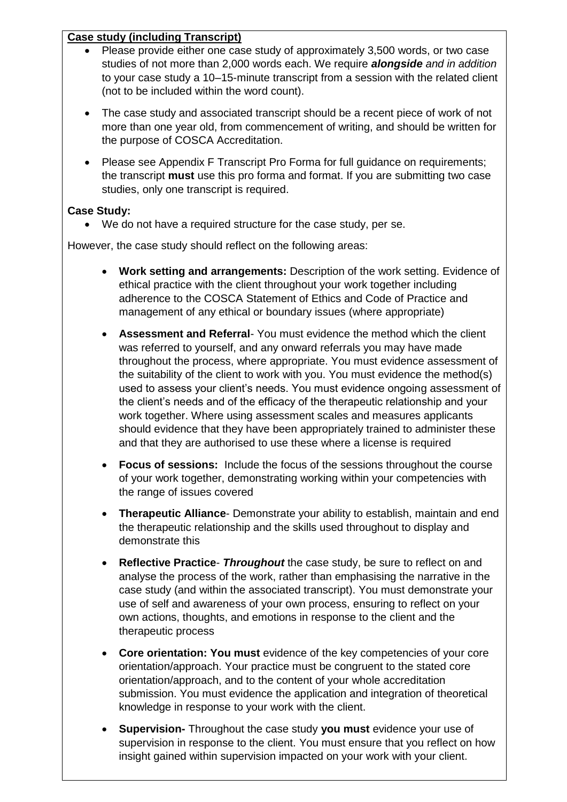## **Case study (including Transcript)**

- Please provide either one case study of approximately 3,500 words, or two case studies of not more than 2,000 words each. We require *alongside and in addition* to your case study a 10–15-minute transcript from a session with the related client (not to be included within the word count).
- The case study and associated transcript should be a recent piece of work of not more than one year old, from commencement of writing, and should be written for the purpose of COSCA Accreditation.
- Please see Appendix F Transcript Pro Forma for full guidance on requirements; the transcript **must** use this pro forma and format. If you are submitting two case studies, only one transcript is required.

## **Case Study:**

We do not have a required structure for the case study, per se.

However, the case study should reflect on the following areas:

- **Work setting and arrangements:** Description of the work setting. Evidence of ethical practice with the client throughout your work together including adherence to the COSCA Statement of Ethics and Code of Practice and management of any ethical or boundary issues (where appropriate)
- **Assessment and Referral** You must evidence the method which the client was referred to yourself, and any onward referrals you may have made throughout the process, where appropriate. You must evidence assessment of the suitability of the client to work with you. You must evidence the method(s) used to assess your client's needs. You must evidence ongoing assessment of the client's needs and of the efficacy of the therapeutic relationship and your work together. Where using assessment scales and measures applicants should evidence that they have been appropriately trained to administer these and that they are authorised to use these where a license is required
- **Focus of sessions:** Include the focus of the sessions throughout the course of your work together, demonstrating working within your competencies with the range of issues covered
- **Therapeutic Alliance** Demonstrate your ability to establish, maintain and end the therapeutic relationship and the skills used throughout to display and demonstrate this
- **Reflective Practice** *Throughout* the case study, be sure to reflect on and analyse the process of the work, rather than emphasising the narrative in the case study (and within the associated transcript). You must demonstrate your use of self and awareness of your own process, ensuring to reflect on your own actions, thoughts, and emotions in response to the client and the therapeutic process
- **Core orientation: You must** evidence of the key competencies of your core orientation/approach. Your practice must be congruent to the stated core orientation/approach, and to the content of your whole accreditation submission. You must evidence the application and integration of theoretical knowledge in response to your work with the client.
- Charity Registered in Scotland No. SC018887 supervision in response to the client. You must ensure that you reflect on how insight gained within supervision impact insight gained within supervision impacted on your work with your client. **Supervision-** Throughout the case study **you must** evidence your use of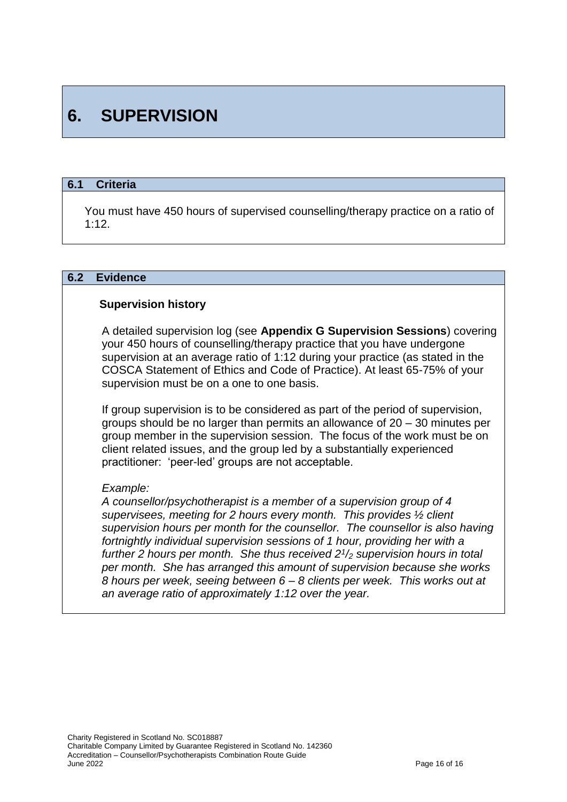# **6. SUPERVISION**

## **6.1 Criteria**

You must have 450 hours of supervised counselling/therapy practice on a ratio of 1:12.

#### **6.2 Evidence**

#### **Supervision history**

A detailed supervision log (see **Appendix G Supervision Sessions**) covering your 450 hours of counselling/therapy practice that you have undergone supervision at an average ratio of 1:12 during your practice (as stated in the COSCA Statement of Ethics and Code of Practice). At least 65-75% of your supervision must be on a one to one basis.

If group supervision is to be considered as part of the period of supervision, groups should be no larger than permits an allowance of 20 – 30 minutes per group member in the supervision session. The focus of the work must be on client related issues, and the group led by a substantially experienced practitioner: 'peer-led' groups are not acceptable.

#### *Example:*

*A counsellor/psychotherapist is a member of a supervision group of 4 supervisees, meeting for 2 hours every month. This provides ½ client supervision hours per month for the counsellor. The counsellor is also having fortnightly individual supervision sessions of 1 hour, providing her with a further 2 hours per month. She thus received 2<sup>1</sup> /<sup>2</sup> supervision hours in total per month. She has arranged this amount of supervision because she works 8 hours per week, seeing between 6 – 8 clients per week. This works out at an average ratio of approximately 1:12 over the year.*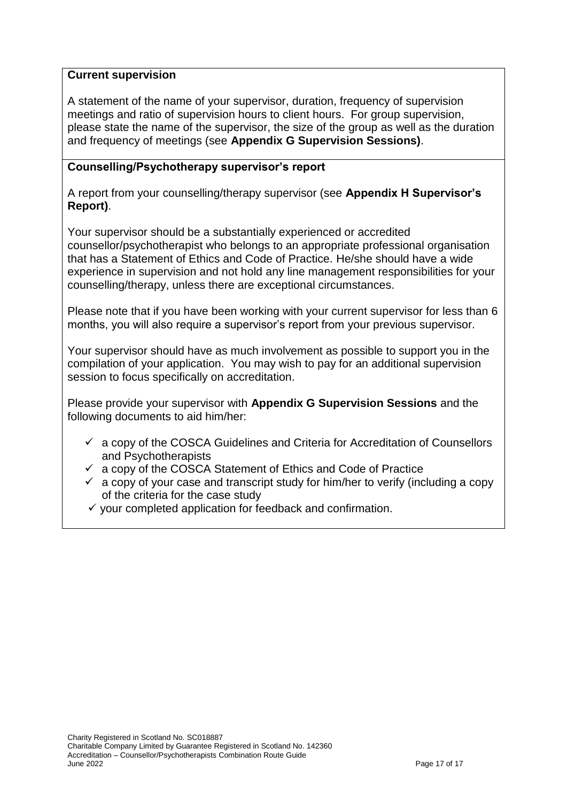## **Current supervision**

A statement of the name of your supervisor, duration, frequency of supervision meetings and ratio of supervision hours to client hours. For group supervision, please state the name of the supervisor, the size of the group as well as the duration and frequency of meetings (see **Appendix G Supervision Sessions)**.

## **Counselling/Psychotherapy supervisor's report**

A report from your counselling/therapy supervisor (see **Appendix H Supervisor's Report)**.

Your supervisor should be a substantially experienced or accredited counsellor/psychotherapist who belongs to an appropriate professional organisation that has a Statement of Ethics and Code of Practice. He/she should have a wide experience in supervision and not hold any line management responsibilities for your counselling/therapy, unless there are exceptional circumstances.

Please note that if you have been working with your current supervisor for less than 6 months, you will also require a supervisor's report from your previous supervisor.

Your supervisor should have as much involvement as possible to support you in the compilation of your application. You may wish to pay for an additional supervision session to focus specifically on accreditation.

Please provide your supervisor with **Appendix G Supervision Sessions** and the following documents to aid him/her:

- $\checkmark$  a copy of the COSCA Guidelines and Criteria for Accreditation of Counsellors and Psychotherapists
- $\checkmark$  a copy of the COSCA Statement of Ethics and Code of Practice
- $\checkmark$  a copy of your case and transcript study for him/her to verify (including a copy of the criteria for the case study
- $\checkmark$  vour completed application for feedback and confirmation.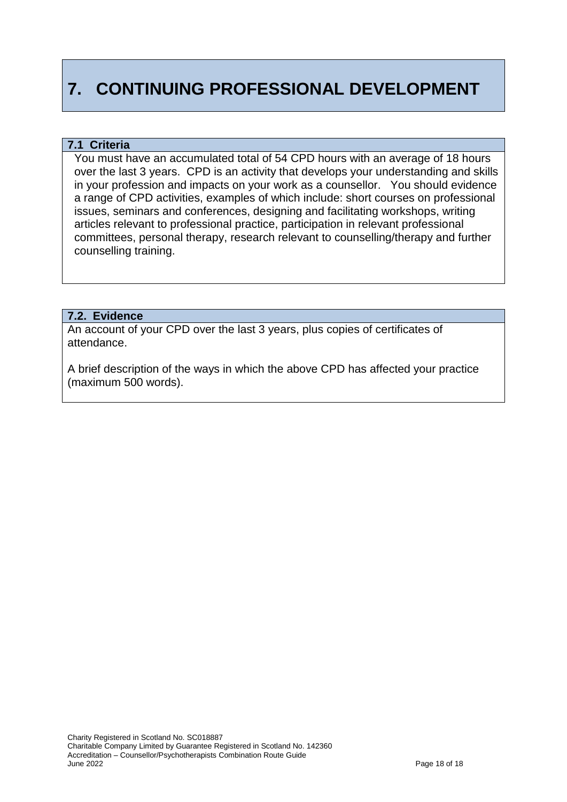# **7. CONTINUING PROFESSIONAL DEVELOPMENT**

#### **7.1 Criteria**

You must have an accumulated total of 54 CPD hours with an average of 18 hours over the last 3 years. CPD is an activity that develops your understanding and skills in your profession and impacts on your work as a counsellor. You should evidence a range of CPD activities, examples of which include: short courses on professional issues, seminars and conferences, designing and facilitating workshops, writing articles relevant to professional practice, participation in relevant professional committees, personal therapy, research relevant to counselling/therapy and further counselling training.

#### **7.2. Evidence**

An account of your CPD over the last 3 years, plus copies of certificates of attendance.

A brief description of the ways in which the above CPD has affected your practice (maximum 500 words).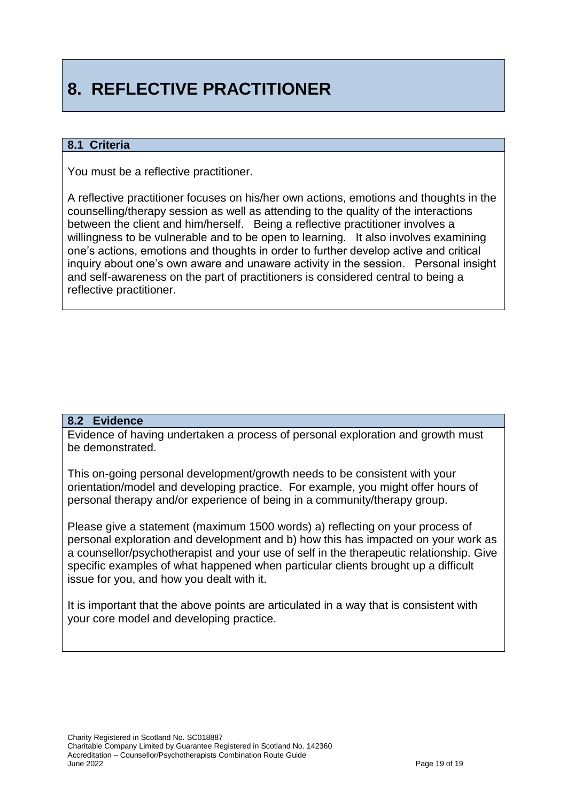# **8. REFLECTIVE PRACTITIONER**

### **8.1 Criteria**

You must be a reflective practitioner.

A reflective practitioner focuses on his/her own actions, emotions and thoughts in the counselling/therapy session as well as attending to the quality of the interactions between the client and him/herself. Being a reflective practitioner involves a willingness to be vulnerable and to be open to learning. It also involves examining one's actions, emotions and thoughts in order to further develop active and critical inquiry about one's own aware and unaware activity in the session. Personal insight and self-awareness on the part of practitioners is considered central to being a reflective practitioner.

#### **8.2 Evidence**

Evidence of having undertaken a process of personal exploration and growth must be demonstrated.

This on-going personal development/growth needs to be consistent with your orientation/model and developing practice. For example, you might offer hours of personal therapy and/or experience of being in a community/therapy group.

Please give a statement (maximum 1500 words) a) reflecting on your process of personal exploration and development and b) how this has impacted on your work as a counsellor/psychotherapist and your use of self in the therapeutic relationship. Give specific examples of what happened when particular clients brought up a difficult issue for you, and how you dealt with it.

It is important that the above points are articulated in a way that is consistent with your core model and developing practice.